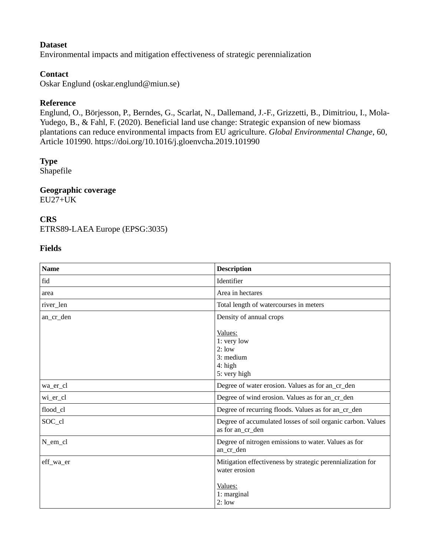# **Dataset**

Environmental impacts and mitigation effectiveness of strategic perennialization

# **Contact**

Oskar Englund (oskar.englund@miun.se)

# **Reference**

Englund, O., Börjesson, P., Berndes, G., Scarlat, N., Dallemand, J.-F., Grizzetti, B., Dimitriou, I., Mola-Yudego, B., & Fahl, F. (2020). Beneficial land use change: Strategic expansion of new biomass plantations can reduce environmental impacts from EU agriculture. *Global Environmental Change*, 60, Article 101990. https://doi.org/10.1016/j.gloenvcha.2019.101990

# **Type**

Shapefile

# **Geographic coverage**

EU27+UK

### **CRS**

ETRS89-LAEA Europe (EPSG:3035)

### **Fields**

| <b>Name</b> | <b>Description</b>                                                                                             |
|-------------|----------------------------------------------------------------------------------------------------------------|
| fid         | Identifier                                                                                                     |
| area        | Area in hectares                                                                                               |
| river_len   | Total length of watercourses in meters                                                                         |
| an_cr_den   | Density of annual crops                                                                                        |
|             | Values:<br>1: very low<br>2:low<br>3: medium<br>$4:$ high<br>5: very high                                      |
| wa_er_cl    | Degree of water erosion. Values as for an_cr_den                                                               |
| wi_er_cl    | Degree of wind erosion. Values as for an_cr_den                                                                |
| flood_cl    | Degree of recurring floods. Values as for an_cr_den                                                            |
| SOC_cl      | Degree of accumulated losses of soil organic carbon. Values<br>as for an_cr_den                                |
| N_em_cl     | Degree of nitrogen emissions to water. Values as for<br>an_cr_den                                              |
| eff_wa_er   | Mitigation effectiveness by strategic perennialization for<br>water erosion<br>Values:<br>1: marginal<br>2:low |